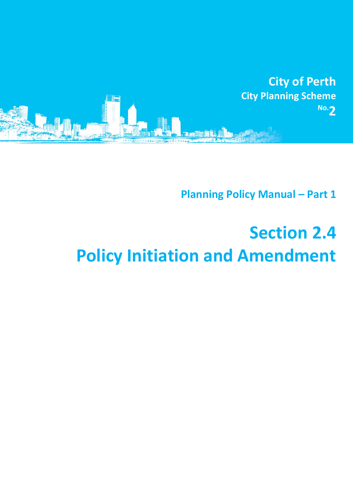

**Planning Policy Manual - Part 1** 

## **Section 2.4 Policy Initiation and Amendment**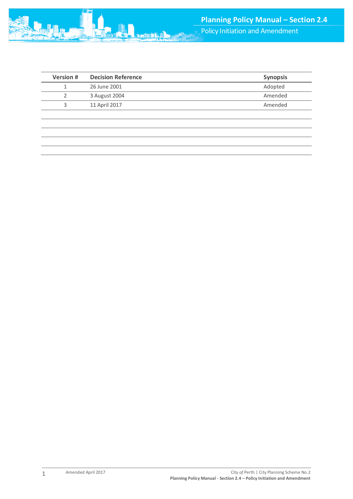| <b>Version #</b> | <b>Decision Reference</b> | <b>Synopsis</b> |
|------------------|---------------------------|-----------------|
|                  | 26 June 2001              | Adopted         |
|                  | 3 August 2004             | Amended         |
|                  | 11 April 2017             | Amended         |
|                  |                           |                 |

1